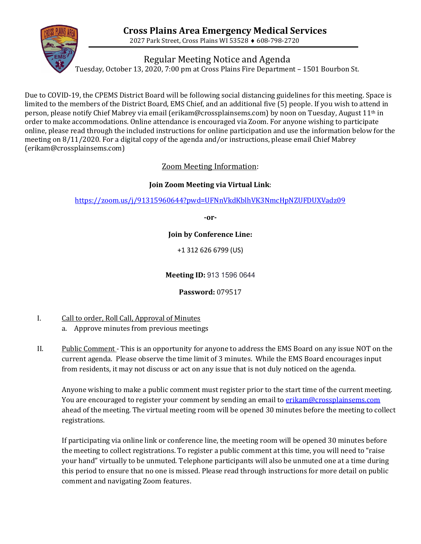

Regular Meeting Notice and Agenda

Tuesday, October 13, 2020, 7:00 pm at Cross Plains Fire Department – 1501 Bourbon St.

Due to COVID-19, the CPEMS District Board will be following social distancing guidelines for this meeting. Space is limited to the members of the District Board, EMS Chief, and an additional five (5) people. If you wish to attend in person, please notify Chief Mabrey via email (erikam@crossplainsems.com) by noon on Tuesday, August 11th in order to make accommodations. Online attendance is encouraged via Zoom. For anyone wishing to participate online, please read through the included instructions for online participation and use the information below for the meeting on 8/11/2020. For a digital copy of the agenda and/or instructions, please email Chief Mabrey (erikam@crossplainsems.com)

Zoom Meeting Information:

## **Join Zoom Meeting via Virtual Link**:

<https://zoom.us/j/91315960644?pwd=UFNnVkdKblhVK3NmcHpNZUFDUXVadz09>

**-or-**

**Join by Conference Line:** 

+1 312 626 6799 (US)

**Meeting ID:** 913 1596 0644

**Password:** 079517

- I. Call to order, Roll Call, Approval of Minutes
	- a. Approve minutes from previous meetings
- II. Public Comment This is an opportunity for anyone to address the EMS Board on any issue NOT on the current agenda. Please observe the time limit of 3 minutes. While the EMS Board encourages input from residents, it may not discuss or act on any issue that is not duly noticed on the agenda.

Anyone wishing to make a public comment must register prior to the start time of the current meeting. You are encouraged to register your comment by sending an email t[o erikam@crossplainsems.com](mailto:erikam@crossplainsems.com) ahead of the meeting. The virtual meeting room will be opened 30 minutes before the meeting to collect registrations.

If participating via online link or conference line, the meeting room will be opened 30 minutes before the meeting to collect registrations. To register a public comment at this time, you will need to "raise your hand" virtually to be unmuted. Telephone participants will also be unmuted one at a time during this period to ensure that no one is missed. Please read through instructions for more detail on public comment and navigating Zoom features.